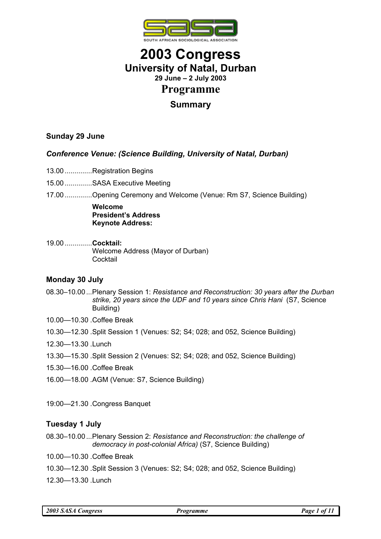

# **2003 Congress University of Natal, Durban 29 June – 2 July 2003 Programme**

## **Summary**

## **Sunday 29 June**

## *Conference Venue: (Science Building, University of Natal, Durban)*

- 13.00..............Registration Begins
- 15.00..............SASA Executive Meeting
- 17.00..............Opening Ceremony and Welcome (Venue: Rm S7, Science Building)

**Welcome President's Address Keynote Address:** 

19.00..............**Cocktail:** Welcome Address (Mayor of Durban) Cocktail

## **Monday 30 July**

- 08.30–10.00...Plenary Session 1: *Resistance and Reconstruction: 30 years after the Durban strike, 20 years since the UDF and 10 years since Chris Hani* (S7, Science Building)
- 10.00—10.30 .Coffee Break
- 10.30—12.30 .Split Session 1 (Venues: S2; S4; 028; and 052, Science Building)
- 12.30—13.30 .Lunch
- 13.30—15.30 .Split Session 2 (Venues: S2; S4; 028; and 052, Science Building)
- 15.30—16.00 .Coffee Break
- 16.00—18.00 .AGM (Venue: S7, Science Building)

19:00—21.30 .Congress Banquet

## **Tuesday 1 July**

- 08.30–10.00...Plenary Session 2: *Resistance and Reconstruction: the challenge of democracy in post-colonial Africa)* (S7, Science Building)
- 10.00—10.30 .Coffee Break
- 10.30—12.30 .Split Session 3 (Venues: S2; S4; 028; and 052, Science Building)
- 12.30—13.30 .Lunch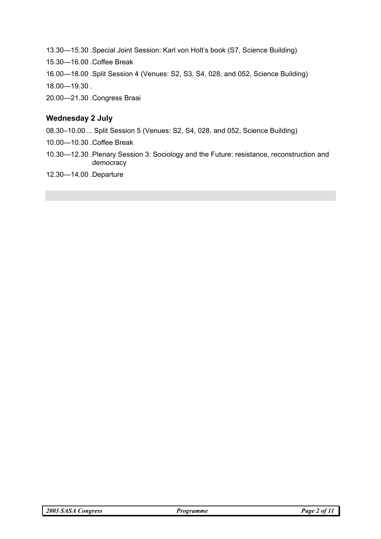- 13.30—15.30 .Special Joint Session: Karl von Holt's book (S7, Science Building)
- 15.30—16.00 .Coffee Break
- 16.00—18.00 .Split Session 4 (Venues: S2, S3, S4, 028, and 052, Science Building)

18.00—19.30 .

20.00—21.30 .Congress Braai

## **Wednesday 2 July**

08.30–10.00... Split Session 5 (Venues: S2, S4, 028, and 052, Science Building)

- 10.00—10.30 .Coffee Break
- 10.30—12.30 .Plenary Session 3: Sociology and the Future: resistance, reconstruction and democracy
- 12.30—14.00 .Departure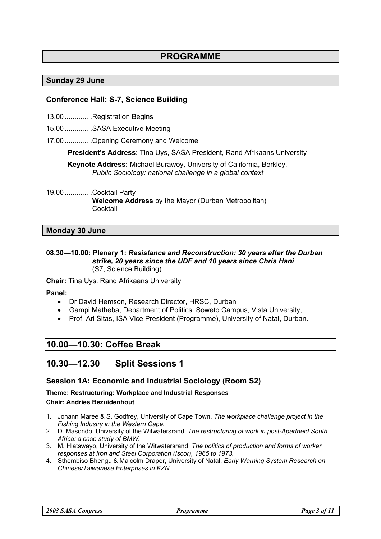## **PROGRAMME**

### **Sunday 29 June**

### **Conference Hall: S-7, Science Building**

- 13.00..............Registration Begins
- 15.00..............SASA Executive Meeting
- 17.00..............Opening Ceremony and Welcome

 **President's Address**: Tina Uys, SASA President, Rand Afrikaans University

 **Keynote Address:** Michael Burawoy, University of California, Berkley. *Public Sociology: national challenge in a global context* 

19.00..............Cocktail Party **Welcome Address** by the Mayor (Durban Metropolitan) Cocktail

#### **Monday 30 June**

#### **08.30—10.00: Plenary 1:** *Resistance and Reconstruction: 30 years after the Durban strike, 20 years since the UDF and 10 years since Chris Hani* (S7, Science Building)

**Chair:** Tina Uys. Rand Afrikaans University

#### **Panel:**

- Dr David Hemson, Research Director, HRSC, Durban
- Gampi Matheba, Department of Politics, Soweto Campus, Vista University,
- Prof. Ari Sitas, ISA Vice President (Programme), University of Natal, Durban.

## **10.00—10.30: Coffee Break**

## **10.30—12.30 Split Sessions 1**

#### **Session 1A: Economic and Industrial Sociology (Room S2)**

**Theme: Restructuring: Workplace and Industrial Responses Chair: Andries Bezuidenhout** 

- 1. Johann Maree & S. Godfrey, University of Cape Town. *The workplace challenge project in the Fishing Industry in the Western Cape.*
- 2. D. Masondo, University of the Witwatersrand. *The restructuring of work in post-Apartheid South Africa: a case study of BMW.*
- 3. M. Hlatswayo, University of the Witwatersrand. *The politics of production and forms of worker responses at Iron and Steel Corporation (Iscor), 1965 to 1973.*
- 4. Sthembiso Bhengu & Malcolm Draper, University of Natal. *Early Warning System Research on Chinese/Taiwanese Enterprises in KZN.*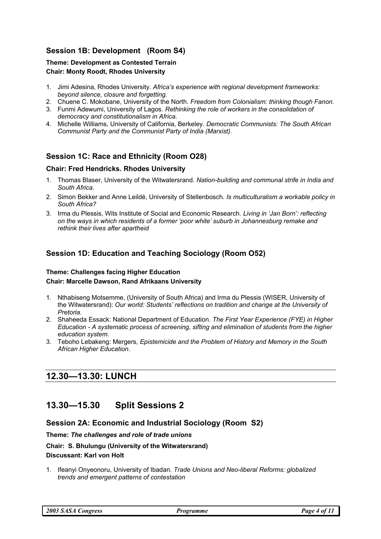## **Session 1B: Development (Room S4)**

#### **Theme: Development as Contested Terrain Chair: Monty Roodt, Rhodes University**

- 1. Jimi Adesina, Rhodes University. *Africa's experience with regional development frameworks: beyond silence, closure and forgetting.*
- 2. Chuene C. Mokobane, University of the North. *Freedom from Colonialism: thinking though Fanon.*
- 3. Funmi Adewumi, University of Lagos. *Rethinking the role of workers in the consolidation of democracy and constitutionalism in Africa.*
- 4. Michelle Williams, University of California, Berkeley. *Democratic Communists: The South African Communist Party and the Communist Party of India (Marxist).*

## **Session 1C: Race and Ethnicity (Room O28)**

#### **Chair: Fred Hendricks. Rhodes University**

- 1. Thomas Blaser, University of the Witwatersrand*. Nation-building and communal strife in India and South Africa.*
- 2. Simon Bekker and Anne Leildé, University of Stellenbosch. *Is multiculturalism a workable policy in South Africa?*
- 3. Irma du Plessis, Wits Institute of Social and Economic Research. *Living in 'Jan Born': reflecting on the ways in which residents of a former 'poor white' suburb in Johannesburg remake and rethink their lives after apartheid*

## **Session 1D: Education and Teaching Sociology (Room O52)**

#### **Theme: Challenges facing Higher Education Chair: Marcelle Dawson, Rand Afrikaans University**

- 1. Nthabiseng Motsemme, (University of South Africa) and Irma du Plessis (WISER, University of the Witwatersrand): *Our world: Students' reflections on tradition and change at the University of Pretoria.*
- 2. Shaheeda Essack: National Department of Education. *The First Year Experience (FYE) in Higher Education - A systematic process of screening, sifting and elimination of students from the higher education system.*
- 3. Teboho Lebakeng: Mergers, *Epistemicide and the Problem of History and Memory in the South African Higher Education*.

## **12.30—13.30: LUNCH**

# **13.30—15.30 Split Sessions 2**

## **Session 2A: Economic and Industrial Sociology (Room S2)**

#### **Theme:** *The challenges and role of trade unions*

#### **Chair: S. Bhulungu (University of the Witwatersrand) Discussant: Karl von Holt**

1. Ifeanyi Onyeonoru, University of Ibadan. *Trade Unions and Neo-liberal Reforms: globalized trends and emergent patterns of contestation*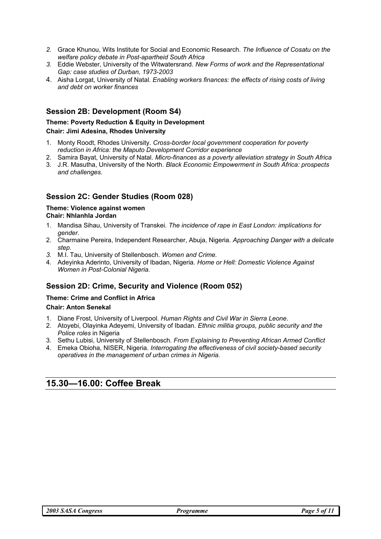- *2.* Grace Khunou, Wits Institute for Social and Economic Research. *The Influence of Cosatu on the welfare policy debate in Post-apartheid South Africa*
- *3.* Eddie Webster, University of the Witwatersrand. *New Forms of work and the Representational Gap: case studies of Durban, 1973-2003*
- 4. Aisha Lorgat, University of Natal. *Enabling workers finances: the effects of rising costs of living and debt on worker finances*

### **Session 2B: Development (Room S4)**

#### **Theme: Poverty Reduction & Equity in Development**

#### **Chair: Jimi Adesina, Rhodes University**

- 1. Monty Roodt, Rhodes University. *Cross-border local government cooperation for poverty reduction in Africa: the Maputo Development Corridor experience*
- 2. Samira Bayat, University of Natal. *Micro-finances as a poverty alleviation strategy in South Africa*
- 3. J.R. Masutha, University of the North. *Black Economic Empowerment in South Africa: prospects and challenges.*

## **Session 2C: Gender Studies (Room 028)**

#### **Theme: Violence against women Chair: Nhlanhla Jordan**

- 1. Mandisa Sihau, University of Transkei. *The incidence of rape in East London: implications for gender.*
- 2. Charmaine Pereira, Independent Researcher, Abuja, Nigeria*. Approaching Danger with a delicate step.*
- *3.* M.I. Tau, University of Stellenbosch. *Women and Crime.*
- 4. Adeyinka Aderinto, University of Ibadan, Nigeria. *Home or Hell: Domestic Violence Against Women in Post-Colonial Nigeria.*

## **Session 2D: Crime, Security and Violence (Room 052)**

#### **Theme: Crime and Conflict in Africa**

#### **Chair: Anton Senekal**

- 1. Diane Frost, University of Liverpool. *Human Rights and Civil War in Sierra Leone*.
- 2. Atoyebi, Olayinka Adeyemi, University of Ibadan. *Ethnic militia groups, public security and the Police roles* in Nigeria
- 3. Sethu Lubisi, University of Stellenbosch. *From Explaining to Preventing African Armed Conflict*
- 4. Emeka Obioha, NISER, Nigeria. *Interrogating the effectiveness of civil society-based security operatives in the management of urban crimes in Nigeria.*

## **15.30—16.00: Coffee Break**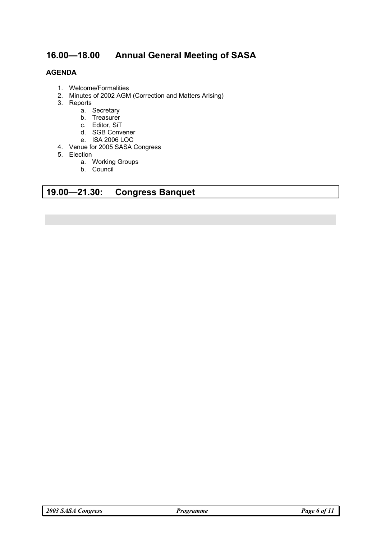# **16.00—18.00 Annual General Meeting of SASA**

### **AGENDA**

- 1. Welcome/Formalities
- 2. Minutes of 2002 AGM (Correction and Matters Arising)
- 3. Reports
	- a. Secretary
	- b. Treasurer
	- c. Editor, SiT
	- d. SGB Convener
	- e. ISA 2006 LOC
- 4. Venue for 2005 SASA Congress
- 5. Election
	- a. Working Groups
	- b. Council

## **19.00—21.30: Congress Banquet**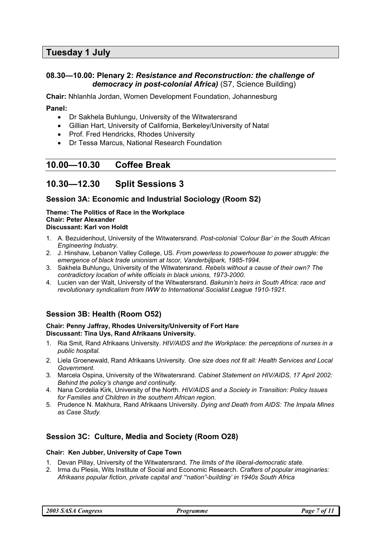### **08.30—10.00: Plenary 2:** *Resistance and Reconstruction: the challenge of democracy in post-colonial Africa)* (S7, Science Building)

**Chair:** Nhlanhla Jordan, Women Development Foundation, Johannesburg

#### **Panel:**

- Dr Sakhela Buhlungu, University of the Witwatersrand
- Gillian Hart, University of California, Berkeley/University of Natal
- Prof. Fred Hendricks, Rhodes University
- Dr Tessa Marcus, National Research Foundation

## **10.00—10.30 Coffee Break**

## **10.30—12.30 Split Sessions 3**

### **Session 3A: Economic and Industrial Sociology (Room S2)**

#### **Theme: The Politics of Race in the Workplace Chair: Peter Alexander Discussant: Karl von Holdt**

- 1. A. Bezuidenhout, University of the Witwatersrand. *Post-colonial 'Colour Bar' in the South African Engineering Industry.*
- 2. J. Hinshaw, Lebanon Valley College, US. *From powerless to powerhouse to power struggle: the emergence of black trade unionism at Iscor, Vanderbijlpark, 1985-1994.*
- 3. Sakhela Buhlungu, University of the Witwatersrand. *Rebels without a cause of their own? The contradictory location of white officials in black unions, 1973-2000.*
- 4. Lucien van der Walt, University of the Witwatersrand. *Bakunin's heirs in South Africa: race and revolutionary syndicalism from IWW to International Socialist League 1910-1921.*

## **Session 3B: Health (Room O52)**

#### **Chair: Penny Jaffray, Rhodes University/University of Fort Hare Discussant: Tina Uys, Rand Afrikaans University.**

- 1. Ria Smit, Rand Afrikaans University. *HIV/AIDS and the Workplace: the perceptions of nurses in a public hospital.*
- 2. Liela Groenewald, Rand Afrikaans University. *One size does not fit all: Health Services and Local Government*.
- 3. Marcela Ospina, University of the Witwatersrand. *Cabinet Statement on HIV/AIDS, 17 April 2002: Behind the policy's change and continuity.*
- 4. Nana Cordelia Kirk, University of the North. *HIV/AIDS and a Society in Transition: Policy Issues for Families and Children in the southern African region*.
- 5. Prudence N. Makhura, Rand Afrikaans University. *Dying and Death from AIDS: The Impala Mines as Case Study.*

## **Session 3C: Culture, Media and Society (Room O28)**

#### **Chair: Ken Jubber, University of Cape Town**

- 1. Devan Pillay, University of the Witwatersrand. *The limits of the liberal-democratic state.*
- 2. Irma du Plesis, Wits Institute of Social and Economic Research. *Crafters of popular imaginaries: Afrikaans popular fiction, private capital and '"nation"-building' in 1940s South Africa*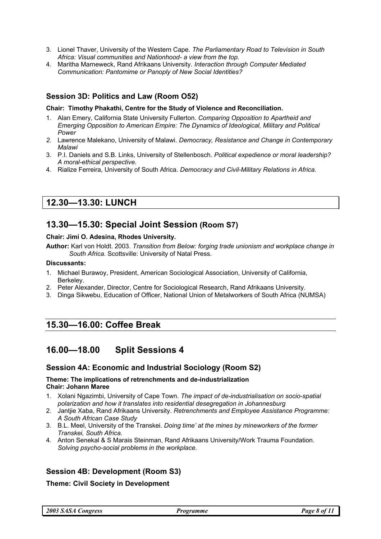- 3. Lionel Thaver, University of the Western Cape. *The Parliamentary Road to Television in South Africa: Visual communities and Nationhood- a view from the top.*
- 4. Maritha Marneweck, Rand Afrikaans University. *Interaction through Computer Mediated Communication: Pantomime or Panoply of New Social Identities?*

## **Session 3D: Politics and Law (Room O52)**

**Chair: Timothy Phakathi, Centre for the Study of Violence and Reconciliation.** 

- 1. Alan Emery, California State University Fullerton. *Comparing Opposition to Apartheid and Emerging Opposition to American Empire: The Dynamics of Ideological, Military and Political Power*
- *2.* Lawrence Malekano, University of Malawi. *Democracy, Resistance and Change in Contemporary Malawi*
- 3. P.I. Daniels and S.B. Links, University of Stellenbosch. *Political expedience or moral leadership? A moral-ethical perspective.*
- 4. Rialize Ferreira, University of South Africa. *Democracy and Civil-Military Relations in Africa.*

## **12.30—13.30: LUNCH**

## **13.30—15.30: Special Joint Session (Room S7)**

#### **Chair: Jimi O. Adesina, Rhodes University.**

**Author:** Karl von Holdt. 2003. *Transition from Below: forging trade unionism and workplace change in South Africa.* Scottsville: University of Natal Press.

#### **Discussants:**

- 1. Michael Burawoy, President, American Sociological Association, University of California, Berkeley.
- 2. Peter Alexander, Director, Centre for Sociological Research, Rand Afrikaans University.
- 3. Dinga Sikwebu, Education of Officer, National Union of Metalworkers of South Africa (NUMSA)

# **15.30—16.00: Coffee Break**

## **16.00—18.00 Split Sessions 4**

### **Session 4A: Economic and Industrial Sociology (Room S2)**

#### **Theme: The implications of retrenchments and de-industrialization Chair: Johann Maree**

- 1. Xolani Ngazimbi, University of Cape Town. *The impact of de-industrialisation on socio-spatial polarization and how it translates into residential desegregation in Johannesburg*
- 2. Jantjie Xaba, Rand Afrikaans University. *Retrenchments and Employee Assistance Programme: A South African Case Study*
- 3. B.L. Meel, University of the Transkei. *Doing time' at the mines by mineworkers of the former Transkei, South Africa.*
- 4. Anton Senekal & S Marais Steinman, Rand Afrikaans University/Work Trauma Foundation. *Solving psycho-social problems in the workplace.*

## **Session 4B: Development (Room S3)**

### **Theme: Civil Society in Development**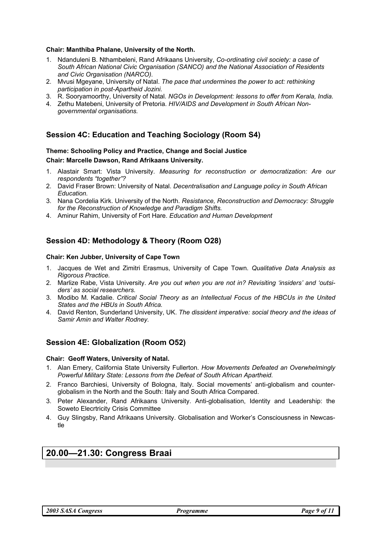#### **Chair: Manthiba Phalane, University of the North.**

- 1. Ndanduleni B. Nthambeleni, Rand Afrikaans University, *Co-ordinating civil society: a case of South African National Civic Organisation (SANCO) and the National Association of Residents and Civic Organisation (NARCO).*
- 2. Mvusi Mgeyane, University of Natal. *The pace that undermines the power to act: rethinking participation in post-Apartheid Jozini.*
- 3. R. Sooryamoorthy, University of Natal*. NGOs in Development: lessons to offer from Kerala, India.*
- 4. Zethu Matebeni, University of Pretoria. *HIV/AIDS and Development in South African Nongovernmental organisations.*

## **Session 4C: Education and Teaching Sociology (Room S4)**

#### **Theme: Schooling Policy and Practice, Change and Social Justice**

#### **Chair: Marcelle Dawson, Rand Afrikaans University.**

- 1. Alastair Smart: Vista University. *Measuring for reconstruction or democratization: Are our respondents "together"?*
- 2. David Fraser Brown: University of Natal. *Decentralisation and Language policy in South African Education.*
- 3. Nana Cordelia Kirk. University of the North. *Resistance, Reconstruction and Democracy: Struggle for the Reconstruction of Knowledge and Paradigm Shifts.*
- 4. Aminur Rahim, University of Fort Hare. *Education and Human Development*

## **Session 4D: Methodology & Theory (Room O28)**

#### **Chair: Ken Jubber, University of Cape Town**

- 1. Jacques de Wet and Zimitri Erasmus, University of Cape Town. *Qualitative Data Analysis as Rigorous Practice.*
- 2. Marlize Rabe, Vista University. *Are you out when you are not in? Revisiting 'insiders' and 'outsiders' as social researchers.*
- 3. Modibo M. Kadalie. *Critical Social Theory as an Intellectual Focus of the HBCUs in the United States and the HBUs in South Africa.*
- 4. David Renton, Sunderland University, UK. *The dissident imperative: social theory and the ideas of Samir Amin and Walter Rodney.*

## **Session 4E: Globalization (Room O52)**

#### **Chair: Geoff Waters, University of Natal.**

- 1. Alan Emery, California State University Fullerton. *How Movements Defeated an Overwhelmingly Powerful Military State: Lessons from the Defeat of South African Apartheid.*
- 2. Franco Barchiesi, University of Bologna, Italy. Social movements' anti-globalism and counterglobalism in the North and the South: Italy and South Africa Compared.
- 3. Peter Alexander, Rand Afrikaans University. Anti-globalisation, Identity and Leadership: the Soweto Elecrtricity Crisis Committee
- 4. Guy Slingsby, Rand Afrikaans University. Globalisation and Worker's Consciousness in Newcastle

# **20.00—21.30: Congress Braai**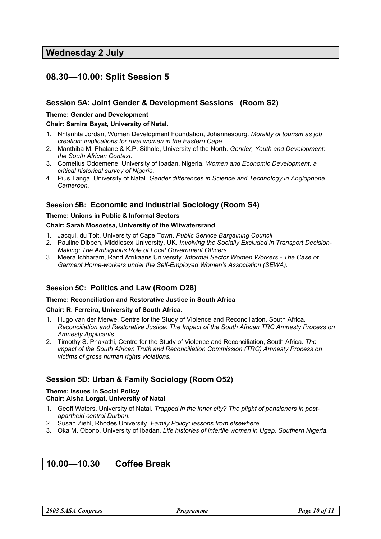# **08.30—10.00: Split Session 5**

### **Session 5A: Joint Gender & Development Sessions (Room S2)**

#### **Theme: Gender and Development**

#### **Chair: Samira Bayat, University of Natal.**

- 1. Nhlanhla Jordan, Women Development Foundation, Johannesburg. *Morality of tourism as job creation: implications for rural women in the Eastern Cape.*
- 2. Manthiba M. Phalane & K.P. Sithole, University of the North. *Gender, Youth and Development: the South African Context.*
- 3. Cornelius Odoemene, University of Ibadan, Nigeria. *Women and Economic Development: a critical historical survey of Nigeria.*
- 4. Pius Tanga, University of Natal*. Gender differences in Science and Technology in Anglophone Cameroon.*

### **Session 5B: Economic and Industrial Sociology (Room S4)**

#### **Theme: Unions in Public & Informal Sectors**

#### **Chair: Sarah Mosoetsa, University of the Witwatersrand**

- 1. Jacqui, du Toit, University of Cape Town. *Public Service Bargaining Council*
- 2. Pauline Dibben, Middlesex University, UK. *Involving the Socially Excluded in Transport Decision-Making: The Ambiguous Role of Local Government Officers.*
- 3. Meera Ichharam, Rand Afrikaans University. *Informal Sector Women Workers The Case of Garment Home-workers under the Self-Employed Women's Association (SEWA).*

### **Session 5C: Politics and Law (Room O28)**

#### **Theme: Reconciliation and Restorative Justice in South Africa**

#### **Chair: R. Ferreira, University of South Africa.**

- 1. Hugo van der Merwe, Centre for the Study of Violence and Reconciliation, South Africa. *Reconciliation and Restorative Justice: The Impact of the South African TRC Amnesty Process on Amnesty Applicants.*
- 2. Timothy S. Phakathi, Centre for the Study of Violence and Reconciliation, South Africa*. The impact of the South African Truth and Reconciliation Commission (TRC) Amnesty Process on victims of gross human rights violations.*

### **Session 5D: Urban & Family Sociology (Room O52)**

#### **Theme: Issues in Social Policy Chair: Aisha Lorgat, University of Natal**

- 1. Geoff Waters, University of Natal. *Trapped in the inner city? The plight of pensioners in postapartheid central Durban.*
- 2. Susan Ziehl, Rhodes University. *Family Policy: lessons from elsewhere.*
- 3. Oka M. Obono, University of Ibadan. *Life histories of infertile women in Ugep, Southern Nigeria.*

## **10.00—10.30 Coffee Break**